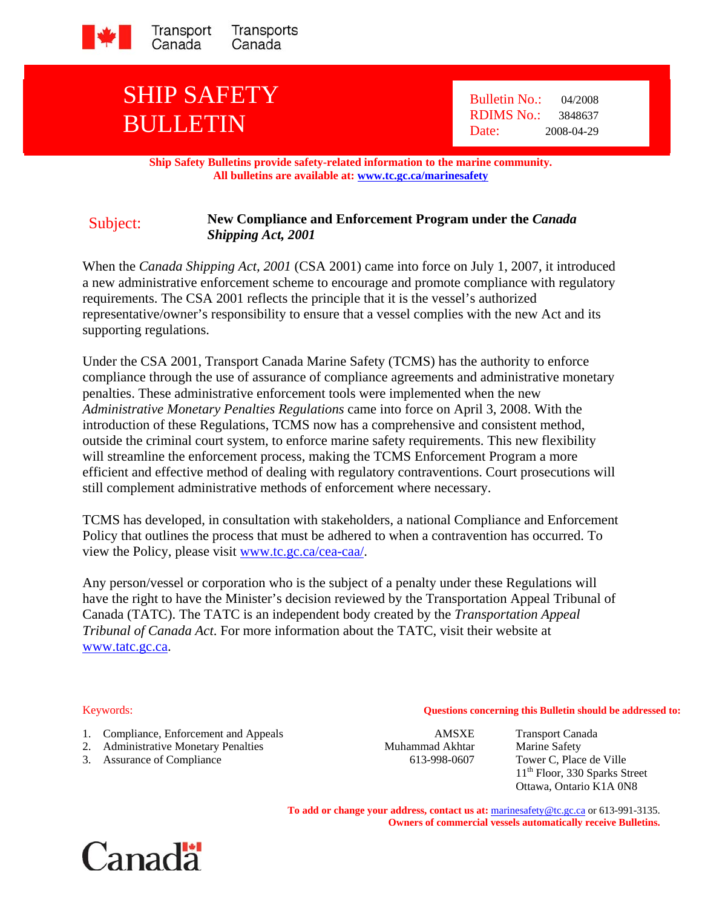

## SHIP SAFETY BULLETIN

 Bulletin No.: 04/2008 RDIMS No.: 3848637 Date: 2008-04-29

**Ship Safety Bulletins provide safety-related information to the marine community. All bulletins are available at: www.tc.gc.ca/marinesafety**

## Subject: **New Compliance and Enforcement Program under the** *Canada Shipping Act, 2001*

When the *Canada Shipping Act, 2001* (CSA 2001) came into force on July 1, 2007, it introduced a new administrative enforcement scheme to encourage and promote compliance with regulatory requirements. The CSA 2001 reflects the principle that it is the vessel's authorized representative/owner's responsibility to ensure that a vessel complies with the new Act and its supporting regulations.

Under the CSA 2001, Transport Canada Marine Safety (TCMS) has the authority to enforce compliance through the use of assurance of compliance agreements and administrative monetary penalties. These administrative enforcement tools were implemented when the new *Administrative Monetary Penalties Regulations* came into force on April 3, 2008. With the introduction of these Regulations, TCMS now has a comprehensive and consistent method, outside the criminal court system, to enforce marine safety requirements. This new flexibility will streamline the enforcement process, making the TCMS Enforcement Program a more efficient and effective method of dealing with regulatory contraventions. Court prosecutions will still complement administrative methods of enforcement where necessary.

TCMS has developed, in consultation with stakeholders, a national Compliance and Enforcement Policy that outlines the process that must be adhered to when a contravention has occurred. To view the Policy, please visit www.tc.gc.ca/cea-caa/.

Any person/vessel or corporation who is the subject of a penalty under these Regulations will have the right to have the Minister's decision reviewed by the Transportation Appeal Tribunal of Canada (TATC). The TATC is an independent body created by the *Transportation Appeal Tribunal of Canada Act*. For more information about the TATC, visit their website at www.tatc.gc.ca.

- 1. Compliance, Enforcement and Appeals **AMSXE** Transport Canada
- 2. Administrative Monetary Penalties Muhammad Akhtar Marine Safety
- 3. Assurance of Compliance 613-998-0607 Tower C, Place de Ville

Keywords: **Questions concerning this Bulletin should be addressed to:**

11<sup>th</sup> Floor, 330 Sparks Street Ottawa, Ontario K1A 0N8

**To add or change your address, contact us at:** marinesafety@tc.gc.ca or 613-991-3135. **Owners of commercial vessels automatically receive Bulletins.**